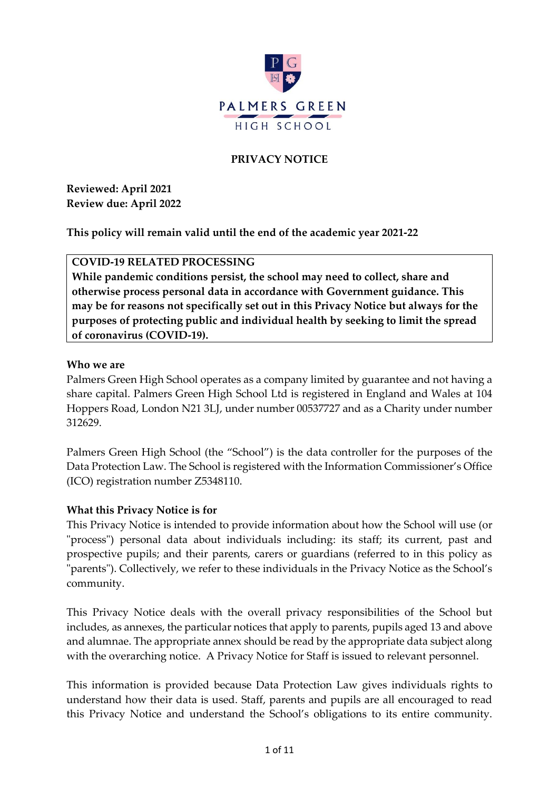

# **PRIVACY NOTICE**

**Reviewed: April 2021 Review due: April 2022**

**This policy will remain valid until the end of the academic year 2021-22**

#### **COVID-19 RELATED PROCESSING**

**While pandemic conditions persist, the school may need to collect, share and otherwise process personal data in accordance with Government guidance. This may be for reasons not specifically set out in this Privacy Notice but always for the purposes of protecting public and individual health by seeking to limit the spread of coronavirus (COVID-19).**

#### **Who we are**

Palmers Green High School operates as a company limited by guarantee and not having a share capital. Palmers Green High School Ltd is registered in England and Wales at 104 Hoppers Road, London N21 3LJ, under number 00537727 and as a Charity under number 312629.

Palmers Green High School (the "School") is the data controller for the purposes of the Data Protection Law. The School is registered with the Information Commissioner's Office (ICO) registration number Z5348110.

#### **What this Privacy Notice is for**

This Privacy Notice is intended to provide information about how the School will use (or "process") personal data about individuals including: its staff; its current, past and prospective pupils; and their parents, carers or guardians (referred to in this policy as "parents"). Collectively, we refer to these individuals in the Privacy Notice as the School's community.

This Privacy Notice deals with the overall privacy responsibilities of the School but includes, as annexes, the particular notices that apply to parents, pupils aged 13 and above and alumnae. The appropriate annex should be read by the appropriate data subject along with the overarching notice. A Privacy Notice for Staff is issued to relevant personnel.

This information is provided because Data Protection Law gives individuals rights to understand how their data is used. Staff, parents and pupils are all encouraged to read this Privacy Notice and understand the School's obligations to its entire community.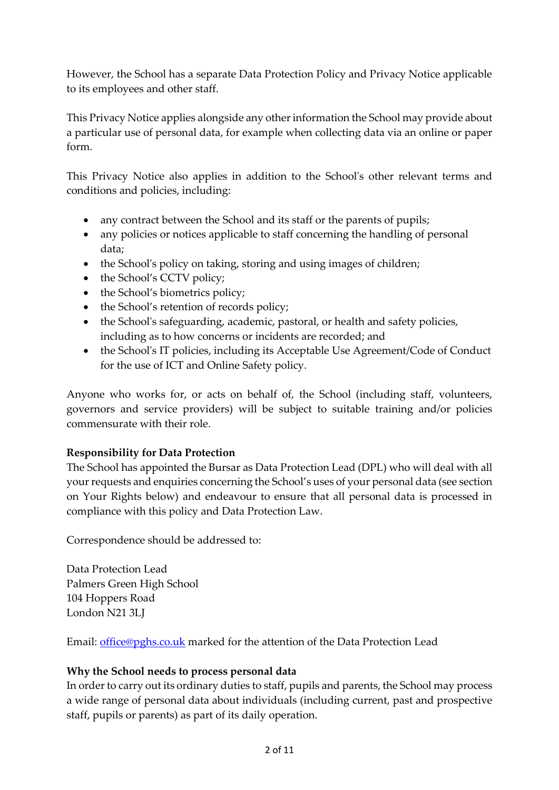However, the School has a separate Data Protection Policy and Privacy Notice applicable to its employees and other staff.

This Privacy Notice applies alongside any other information the School may provide about a particular use of personal data, for example when collecting data via an online or paper form.

This Privacy Notice also applies in addition to the School's other relevant terms and conditions and policies, including:

- any contract between the School and its staff or the parents of pupils;
- any policies or notices applicable to staff concerning the handling of personal data;
- the School's policy on taking, storing and using images of children;
- the School's CCTV policy;
- the School's biometrics policy;
- the School's retention of records policy;
- the School's safeguarding, academic, pastoral, or health and safety policies, including as to how concerns or incidents are recorded; and
- the School's IT policies, including its Acceptable Use Agreement/Code of Conduct for the use of ICT and Online Safety policy.

Anyone who works for, or acts on behalf of, the School (including staff, volunteers, governors and service providers) will be subject to suitable training and/or policies commensurate with their role.

## **Responsibility for Data Protection**

The School has appointed the Bursar as Data Protection Lead (DPL) who will deal with all your requests and enquiries concerning the School's uses of your personal data (see section on Your Rights below) and endeavour to ensure that all personal data is processed in compliance with this policy and Data Protection Law.

Correspondence should be addressed to:

Data Protection Lead Palmers Green High School 104 Hoppers Road London N21 3LJ

Email: [office@pghs.co.uk](mailto:office@pghs.co.uk) marked for the attention of the Data Protection Lead

## **Why the School needs to process personal data**

In order to carry out its ordinary duties to staff, pupils and parents, the School may process a wide range of personal data about individuals (including current, past and prospective staff, pupils or parents) as part of its daily operation.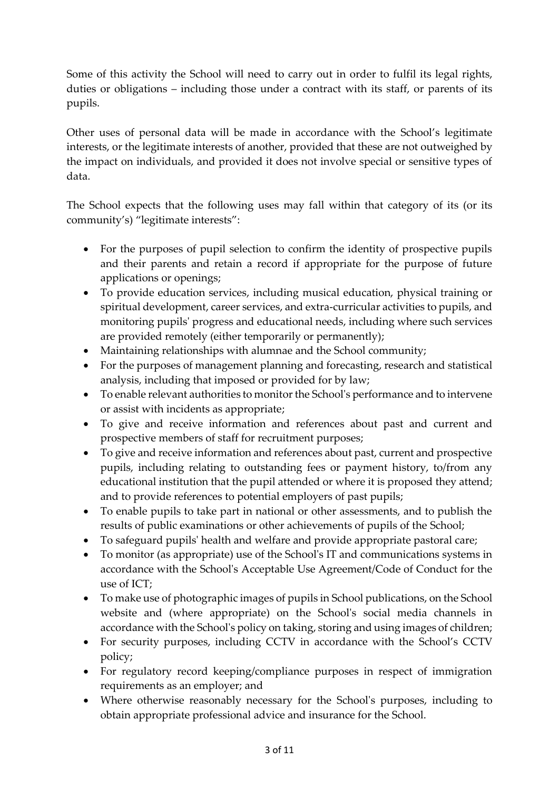Some of this activity the School will need to carry out in order to fulfil its legal rights, duties or obligations – including those under a contract with its staff, or parents of its pupils.

Other uses of personal data will be made in accordance with the School's legitimate interests, or the legitimate interests of another, provided that these are not outweighed by the impact on individuals, and provided it does not involve special or sensitive types of data.

The School expects that the following uses may fall within that category of its (or its community's) "legitimate interests":

- For the purposes of pupil selection to confirm the identity of prospective pupils and their parents and retain a record if appropriate for the purpose of future applications or openings;
- To provide education services, including musical education, physical training or spiritual development, career services, and extra-curricular activities to pupils, and monitoring pupils' progress and educational needs, including where such services are provided remotely (either temporarily or permanently);
- Maintaining relationships with alumnae and the School community;
- For the purposes of management planning and forecasting, research and statistical analysis, including that imposed or provided for by law;
- To enable relevant authorities to monitor the School's performance and to intervene or assist with incidents as appropriate;
- To give and receive information and references about past and current and prospective members of staff for recruitment purposes;
- To give and receive information and references about past, current and prospective pupils, including relating to outstanding fees or payment history, to/from any educational institution that the pupil attended or where it is proposed they attend; and to provide references to potential employers of past pupils;
- To enable pupils to take part in national or other assessments, and to publish the results of public examinations or other achievements of pupils of the School;
- To safeguard pupils' health and welfare and provide appropriate pastoral care;
- To monitor (as appropriate) use of the School's IT and communications systems in accordance with the School's Acceptable Use Agreement/Code of Conduct for the use of ICT;
- To make use of photographic images of pupils in School publications, on the School website and (where appropriate) on the School's social media channels in accordance with the School's policy on taking, storing and using images of children;
- For security purposes, including CCTV in accordance with the School's CCTV policy;
- For regulatory record keeping/compliance purposes in respect of immigration requirements as an employer; and
- Where otherwise reasonably necessary for the School's purposes, including to obtain appropriate professional advice and insurance for the School.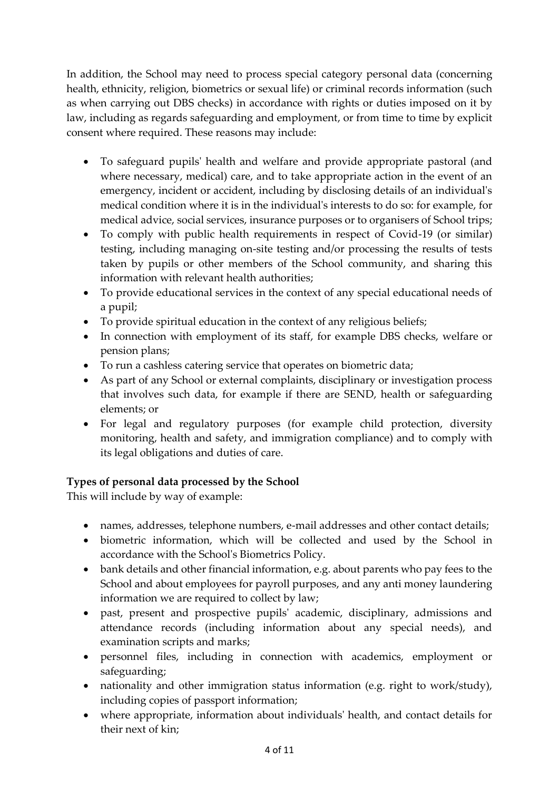In addition, the School may need to process special category personal data (concerning health, ethnicity, religion, biometrics or sexual life) or criminal records information (such as when carrying out DBS checks) in accordance with rights or duties imposed on it by law, including as regards safeguarding and employment, or from time to time by explicit consent where required. These reasons may include:

- To safeguard pupils' health and welfare and provide appropriate pastoral (and where necessary, medical) care, and to take appropriate action in the event of an emergency, incident or accident, including by disclosing details of an individual's medical condition where it is in the individual's interests to do so: for example, for medical advice, social services, insurance purposes or to organisers of School trips;
- To comply with public health requirements in respect of Covid-19 (or similar) testing, including managing on-site testing and/or processing the results of tests taken by pupils or other members of the School community, and sharing this information with relevant health authorities;
- To provide educational services in the context of any special educational needs of a pupil;
- To provide spiritual education in the context of any religious beliefs;
- In connection with employment of its staff, for example DBS checks, welfare or pension plans;
- To run a cashless catering service that operates on biometric data;
- As part of any School or external complaints, disciplinary or investigation process that involves such data, for example if there are SEND, health or safeguarding elements; or
- For legal and regulatory purposes (for example child protection, diversity monitoring, health and safety, and immigration compliance) and to comply with its legal obligations and duties of care.

# **Types of personal data processed by the School**

This will include by way of example:

- names, addresses, telephone numbers, e-mail addresses and other contact details;
- biometric information, which will be collected and used by the School in accordance with the School's Biometrics Policy.
- bank details and other financial information, e.g. about parents who pay fees to the School and about employees for payroll purposes, and any anti money laundering information we are required to collect by law;
- past, present and prospective pupils' academic, disciplinary, admissions and attendance records (including information about any special needs), and examination scripts and marks;
- personnel files, including in connection with academics, employment or safeguarding;
- nationality and other immigration status information (e.g. right to work/study), including copies of passport information;
- where appropriate, information about individuals' health, and contact details for their next of kin;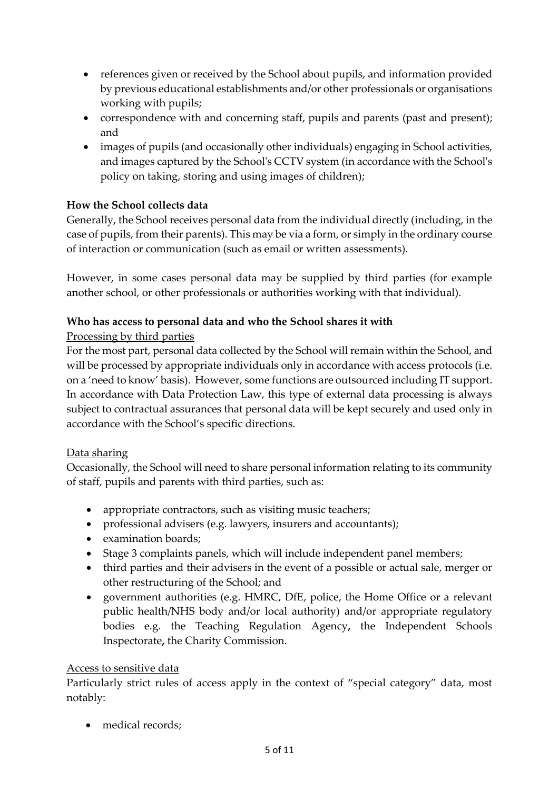- references given or received by the School about pupils, and information provided by previous educational establishments and/or other professionals or organisations working with pupils;
- correspondence with and concerning staff, pupils and parents (past and present); and
- images of pupils (and occasionally other individuals) engaging in School activities, and images captured by the School's CCTV system (in accordance with the School's policy on taking, storing and using images of children);

# **How the School collects data**

Generally, the School receives personal data from the individual directly (including, in the case of pupils, from their parents). This may be via a form, or simply in the ordinary course of interaction or communication (such as email or written assessments).

However, in some cases personal data may be supplied by third parties (for example another school, or other professionals or authorities working with that individual).

## **Who has access to personal data and who the School shares it with**

# Processing by third parties

For the most part, personal data collected by the School will remain within the School, and will be processed by appropriate individuals only in accordance with access protocols (i.e. on a 'need to know' basis). However, some functions are outsourced including IT support. In accordance with Data Protection Law, this type of external data processing is always subject to contractual assurances that personal data will be kept securely and used only in accordance with the School's specific directions.

## Data sharing

Occasionally, the School will need to share personal information relating to its community of staff, pupils and parents with third parties, such as:

- appropriate contractors, such as visiting music teachers;
- professional advisers (e.g. lawyers, insurers and accountants);
- examination boards;
- Stage 3 complaints panels, which will include independent panel members;
- third parties and their advisers in the event of a possible or actual sale, merger or other restructuring of the School; and
- government authorities (e.g. HMRC, DfE, police, the Home Office or a relevant public health/NHS body and/or local authority) and/or appropriate regulatory bodies e.g. the Teaching [Regulation Agency](https://www.gov.uk/government/organisations/teaching-regulation-agency)**,** the [Independent Schools](https://www.isi.net/)  [Inspectorate](https://www.isi.net/)**,** the [Charity Commission.](https://www.gov.uk/government/organisations/charity-commission)

## Access to sensitive data

Particularly strict rules of access apply in the context of "special category" data, most notably:

• medical records: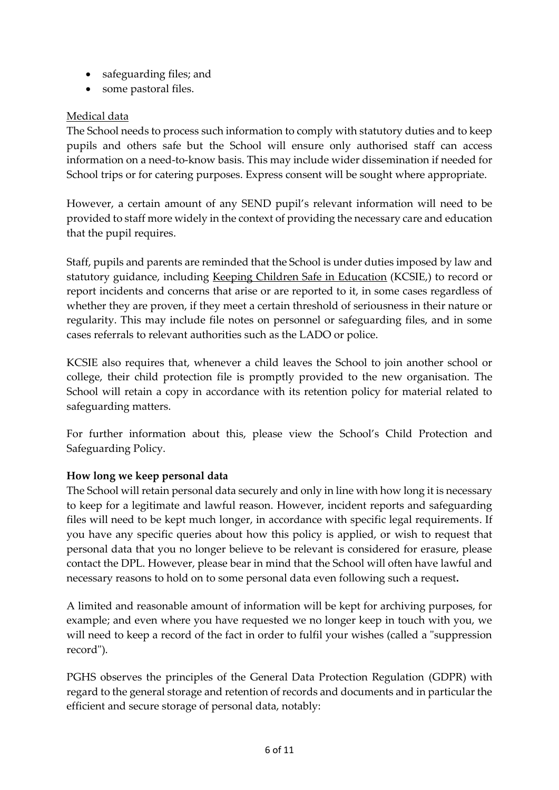- safeguarding files; and
- some pastoral files.

# Medical data

The School needs to process such information to comply with statutory duties and to keep pupils and others safe but the School will ensure only authorised staff can access information on a need-to-know basis. This may include wider dissemination if needed for School trips or for catering purposes. Express consent will be sought where appropriate.

However, a certain amount of any SEND pupil's relevant information will need to be provided to staff more widely in the context of providing the necessary care and education that the pupil requires.

Staff, pupils and parents are reminded that the School is under duties imposed by law and statutory guidance, including [Keeping Children Safe in Education](https://www.gov.uk/government/publications/keeping-children-safe-in-education--2) (KCSIE,) to record or report incidents and concerns that arise or are reported to it, in some cases regardless of whether they are proven, if they meet a certain threshold of seriousness in their nature or regularity. This may include file notes on personnel or safeguarding files, and in some cases referrals to relevant authorities such as the LADO or police.

KCSIE also requires that, whenever a child leaves the School to join another school or college, their child protection file is promptly provided to the new organisation. The School will retain a copy in accordance with its retention policy for material related to safeguarding matters.

For further information about this, please view the School's Child Protection and Safeguarding Policy.

## **How long we keep personal data**

The School will retain personal data securely and only in line with how long it is necessary to keep for a legitimate and lawful reason. However, incident reports and safeguarding files will need to be kept much longer, in accordance with specific legal requirements. If you have any specific queries about how this policy is applied, or wish to request that personal data that you no longer believe to be relevant is considered for erasure, please contact the DPL. However, please bear in mind that the School will often have lawful and necessary reasons to hold on to some personal data even following such a request**.**

A limited and reasonable amount of information will be kept for archiving purposes, for example; and even where you have requested we no longer keep in touch with you, we will need to keep a record of the fact in order to fulfil your wishes (called a "suppression record").

PGHS observes the principles of the General Data Protection Regulation (GDPR) with regard to the general storage and retention of records and documents and in particular the efficient and secure storage of personal data, notably: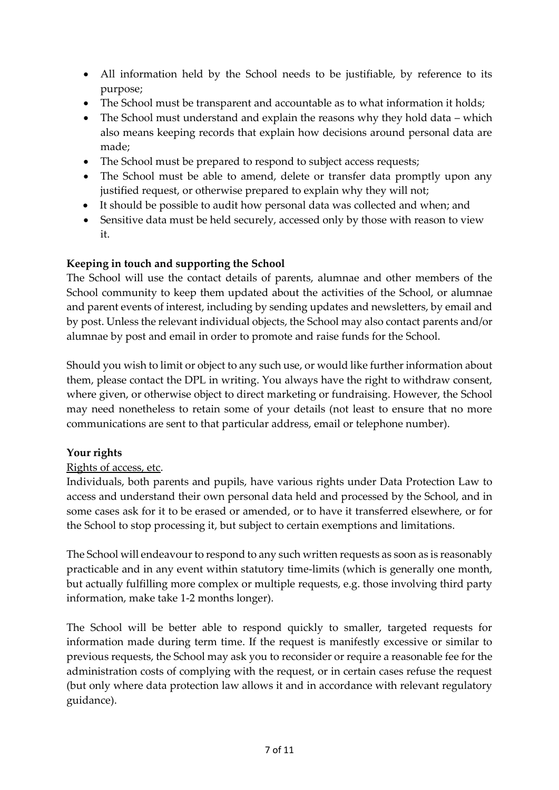- All information held by the School needs to be justifiable, by reference to its purpose;
- The School must be transparent and accountable as to what information it holds;
- The School must understand and explain the reasons why they hold data which also means keeping records that explain how decisions around personal data are made;
- The School must be prepared to respond to subject access requests;
- The School must be able to amend, delete or transfer data promptly upon any justified request, or otherwise prepared to explain why they will not;
- It should be possible to audit how personal data was collected and when; and
- Sensitive data must be held securely, accessed only by those with reason to view it.

## **Keeping in touch and supporting the School**

The School will use the contact details of parents, alumnae and other members of the School community to keep them updated about the activities of the School, or alumnae and parent events of interest, including by sending updates and newsletters, by email and by post. Unless the relevant individual objects, the School may also contact parents and/or alumnae by post and email in order to promote and raise funds for the School.

Should you wish to limit or object to any such use, or would like further information about them, please contact the DPL in writing. You always have the right to withdraw consent, where given, or otherwise object to direct marketing or fundraising. However, the School may need nonetheless to retain some of your details (not least to ensure that no more communications are sent to that particular address, email or telephone number).

## **Your rights**

## Rights of access, etc.

Individuals, both parents and pupils, have various rights under Data Protection Law to access and understand their own personal data held and processed by the School, and in some cases ask for it to be erased or amended, or to have it transferred elsewhere, or for the School to stop processing it, but subject to certain exemptions and limitations.

The School will endeavour to respond to any such written requests as soon as is reasonably practicable and in any event within statutory time-limits (which is generally one month, but actually fulfilling more complex or multiple requests, e.g. those involving third party information, make take 1-2 months longer).

The School will be better able to respond quickly to smaller, targeted requests for information made during term time. If the request is manifestly excessive or similar to previous requests, the School may ask you to reconsider or require a reasonable fee for the administration costs of complying with the request, or in certain cases refuse the request (but only where data protection law allows it and in accordance with relevant regulatory guidance).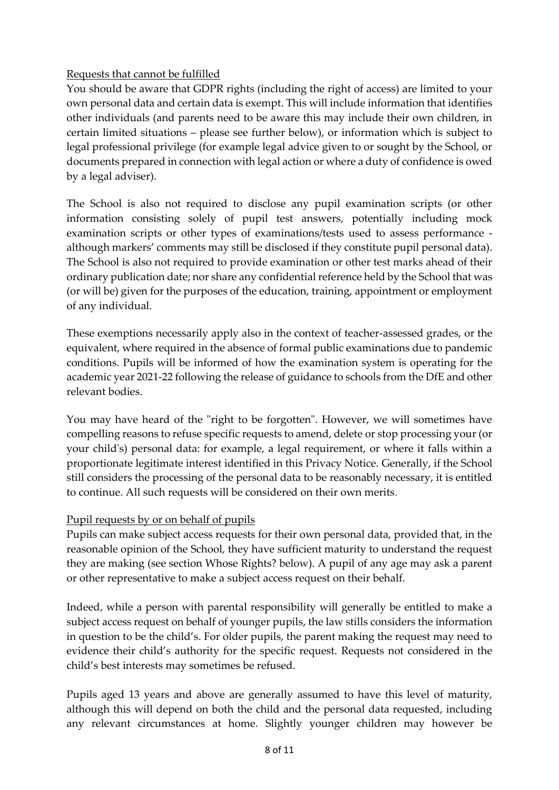#### Requests that cannot be fulfilled

You should be aware that GDPR rights (including the right of access) are limited to your own personal data and certain data is exempt. This will include information that identifies other individuals (and parents need to be aware this may include their own children, in certain limited situations – please see further below), or information which is subject to legal professional privilege (for example legal advice given to or sought by the School, or documents prepared in connection with legal action or where a duty of confidence is owed by a legal adviser).

The School is also not required to disclose any pupil examination scripts (or other information consisting solely of pupil test answers, potentially including mock examination scripts or other types of examinations/tests used to assess performance although markers' comments may still be disclosed if they constitute pupil personal data). The School is also not required to provide examination or other test marks ahead of their ordinary publication date; nor share any confidential reference held by the School that was (or will be) given for the purposes of the education, training, appointment or employment of any individual.

These exemptions necessarily apply also in the context of teacher-assessed grades, or the equivalent, where required in the absence of formal public examinations due to pandemic conditions. Pupils will be informed of how the examination system is operating for the academic year 2021-22 following the release of guidance to schools from the DfE and other relevant bodies.

You may have heard of the "right to be forgotten". However, we will sometimes have compelling reasons to refuse specific requests to amend, delete or stop processing your (or your child's) personal data: for example, a legal requirement, or where it falls within a proportionate legitimate interest identified in this Privacy Notice. Generally, if the School still considers the processing of the personal data to be reasonably necessary, it is entitled to continue. All such requests will be considered on their own merits.

#### Pupil requests by or on behalf of pupils

Pupils can make subject access requests for their own personal data, provided that, in the reasonable opinion of the School, they have sufficient maturity to understand the request they are making (see section Whose Rights? below). A pupil of any age may ask a parent or other representative to make a subject access request on their behalf.

Indeed, while a person with parental responsibility will generally be entitled to make a subject access request on behalf of younger pupils, the law stills considers the information in question to be the child's. For older pupils, the parent making the request may need to evidence their child's authority for the specific request. Requests not considered in the child's best interests may sometimes be refused.

Pupils aged 13 years and above are generally assumed to have this level of maturity, although this will depend on both the child and the personal data requested, including any relevant circumstances at home. Slightly younger children may however be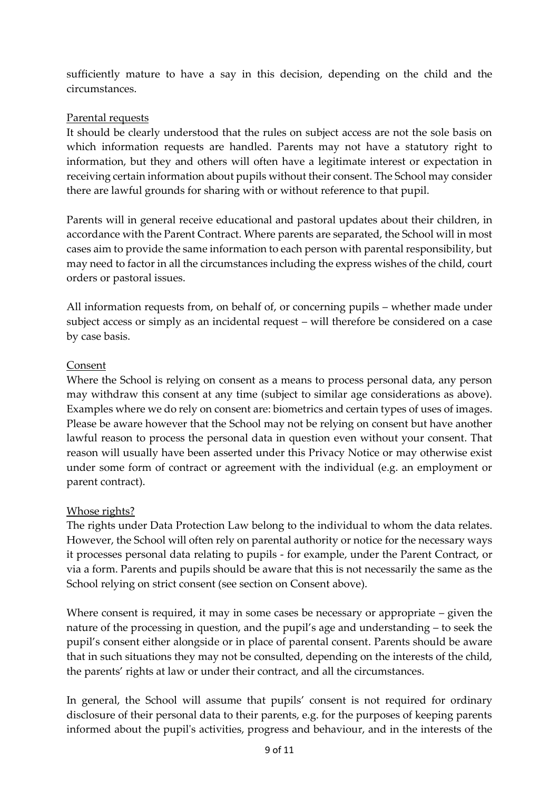sufficiently mature to have a say in this decision, depending on the child and the circumstances.

#### Parental requests

It should be clearly understood that the rules on subject access are not the sole basis on which information requests are handled. Parents may not have a statutory right to information, but they and others will often have a legitimate interest or expectation in receiving certain information about pupils without their consent. The School may consider there are lawful grounds for sharing with or without reference to that pupil.

Parents will in general receive educational and pastoral updates about their children, in accordance with the Parent Contract. Where parents are separated, the School will in most cases aim to provide the same information to each person with parental responsibility, but may need to factor in all the circumstances including the express wishes of the child, court orders or pastoral issues.

All information requests from, on behalf of, or concerning pupils – whether made under subject access or simply as an incidental request – will therefore be considered on a case by case basis.

#### Consent

Where the School is relying on consent as a means to process personal data, any person may withdraw this consent at any time (subject to similar age considerations as above). Examples where we do rely on consent are: biometrics and certain types of uses of images. Please be aware however that the School may not be relying on consent but have another lawful reason to process the personal data in question even without your consent. That reason will usually have been asserted under this Privacy Notice or may otherwise exist under some form of contract or agreement with the individual (e.g. an employment or parent contract).

#### Whose rights?

The rights under Data Protection Law belong to the individual to whom the data relates. However, the School will often rely on parental authority or notice for the necessary ways it processes personal data relating to pupils - for example, under the Parent Contract, or via a form. Parents and pupils should be aware that this is not necessarily the same as the School relying on strict consent (see section on Consent above).

Where consent is required, it may in some cases be necessary or appropriate – given the nature of the processing in question, and the pupil's age and understanding – to seek the pupil's consent either alongside or in place of parental consent. Parents should be aware that in such situations they may not be consulted, depending on the interests of the child, the parents' rights at law or under their contract, and all the circumstances.

In general, the School will assume that pupils' consent is not required for ordinary disclosure of their personal data to their parents, e.g. for the purposes of keeping parents informed about the pupil's activities, progress and behaviour, and in the interests of the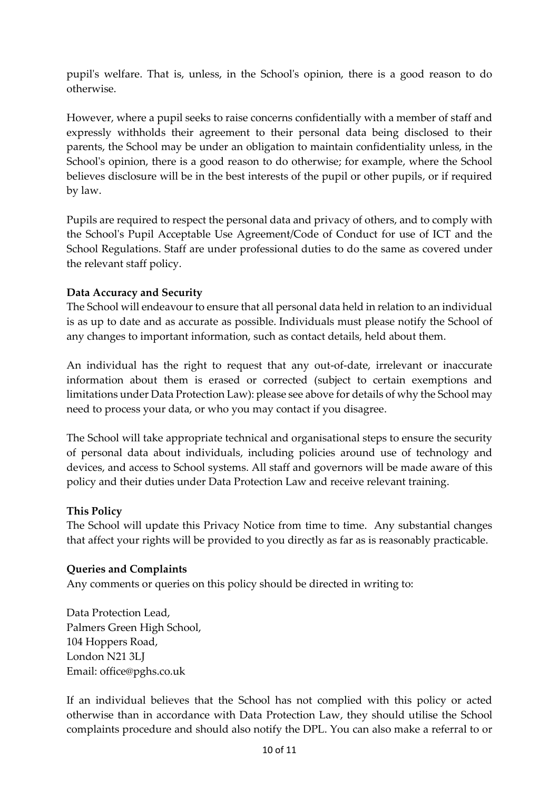pupil's welfare. That is, unless, in the School's opinion, there is a good reason to do otherwise.

However, where a pupil seeks to raise concerns confidentially with a member of staff and expressly withholds their agreement to their personal data being disclosed to their parents, the School may be under an obligation to maintain confidentiality unless, in the School's opinion, there is a good reason to do otherwise; for example, where the School believes disclosure will be in the best interests of the pupil or other pupils, or if required by law.

Pupils are required to respect the personal data and privacy of others, and to comply with the School's Pupil Acceptable Use Agreement/Code of Conduct for use of ICT and the School Regulations. Staff are under professional duties to do the same as covered under the relevant staff policy.

#### **Data Accuracy and Security**

The School will endeavour to ensure that all personal data held in relation to an individual is as up to date and as accurate as possible. Individuals must please notify the School of any changes to important information, such as contact details, held about them.

An individual has the right to request that any out-of-date, irrelevant or inaccurate information about them is erased or corrected (subject to certain exemptions and limitations under Data Protection Law): please see above for details of why the School may need to process your data, or who you may contact if you disagree.

The School will take appropriate technical and organisational steps to ensure the security of personal data about individuals, including policies around use of technology and devices, and access to School systems. All staff and governors will be made aware of this policy and their duties under Data Protection Law and receive relevant training.

#### **This Policy**

The School will update this Privacy Notice from time to time. Any substantial changes that affect your rights will be provided to you directly as far as is reasonably practicable.

## **Queries and Complaints**

Any comments or queries on this policy should be directed in writing to:

Data Protection Lead, Palmers Green High School, 104 Hoppers Road, London N21 3LJ Email: office@pghs.co.uk

If an individual believes that the School has not complied with this policy or acted otherwise than in accordance with Data Protection Law, they should utilise the School complaints procedure and should also notify the DPL. You can also make a referral to or